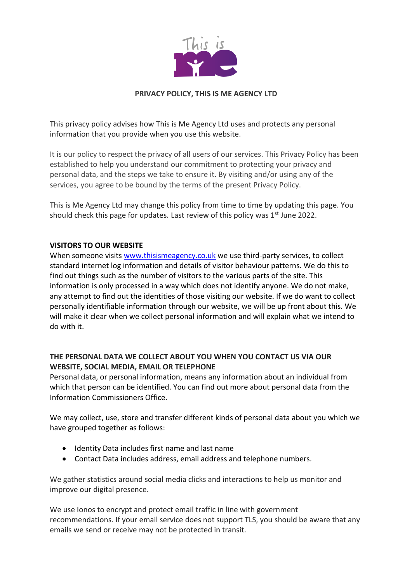

This privacy policy advises how This is Me Agency Ltd uses and protects any personal information that you provide when you use this website.

It is our policy to respect the privacy of all users of our services. This Privacy Policy has been established to help you understand our commitment to protecting your privacy and personal data, and the steps we take to ensure it. By visiting and/or using any of the services, you agree to be bound by the terms of the present Privacy Policy.

This is Me Agency Ltd may change this policy from time to time by updating this page. You should check this page for updates. Last review of this policy was  $1<sup>st</sup>$  June 2022.

## **VISITORS TO OUR WEBSITE**

When someone visits [www.thisismeagency.co.uk](http://www.thisismeagency.co.uk/) we use third-party services, to collect standard internet log information and details of visitor behaviour patterns. We do this to find out things such as the number of visitors to the various parts of the site. This information is only processed in a way which does not identify anyone. We do not make, any attempt to find out the identities of those visiting our website. If we do want to collect personally identifiable information through our website, we will be up front about this. We will make it clear when we collect personal information and will explain what we intend to do with it.

# **THE PERSONAL DATA WE COLLECT ABOUT YOU WHEN YOU CONTACT US VIA OUR WEBSITE, SOCIAL MEDIA, EMAIL OR TELEPHONE**

Personal data, or personal information, means any information about an individual from which that person can be identified. You can find out more about personal data from the Information Commissioners Office.

We may collect, use, store and transfer different kinds of personal data about you which we have grouped together as follows:

- Identity Data includes first name and last name
- Contact Data includes address, email address and telephone numbers.

We gather statistics around social media clicks and interactions to help us monitor and improve our digital presence.

We use Ionos to encrypt and protect email traffic in line with government recommendations. If your email service does not support TLS, you should be aware that any emails we send or receive may not be protected in transit.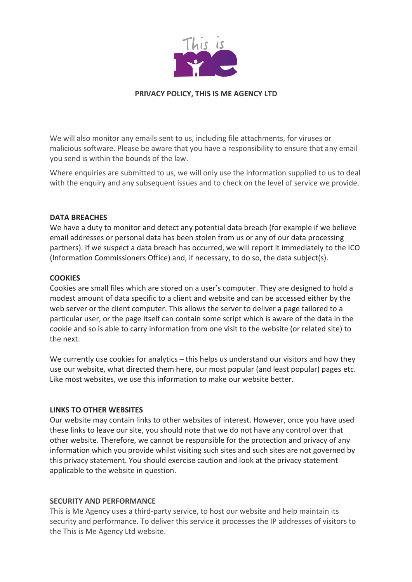

We will also monitor any emails sent to us, including file attachments, for viruses or malicious software. Please be aware that you have a responsibility to ensure that any email you send is within the bounds of the law.

Where enquiries are submitted to us, we will only use the information supplied to us to deal with the enquiry and any subsequent issues and to check on the level of service we provide.

### **DATA BREACHES**

We have a duty to monitor and detect any potential data breach (for example if we believe email addresses or personal data has been stolen from us or any of our data processing partners). If we suspect a data breach has occurred, we will report it immediately to the ICO (Information Commissioners Office) and, if necessary, to do so, the data subject(s).

#### **COOKIES**

Cookies are small files which are stored on a user's computer. They are designed to hold a modest amount of data specific to a client and website and can be accessed either by the web server or the client computer. This allows the server to deliver a page tailored to a particular user, or the page itself can contain some script which is aware of the data in the cookie and so is able to carry information from one visit to the website (or related site) to the next.

We currently use cookies for analytics – this helps us understand our visitors and how they use our website, what directed them here, our most popular (and least popular) pages etc. Like most websites, we use this information to make our website better.

#### **LINKS TO OTHER WEBSITES**

Our website may contain links to other websites of interest. However, once you have used these links to leave our site, you should note that we do not have any control over that other website. Therefore, we cannot be responsible for the protection and privacy of any information which you provide whilst visiting such sites and such sites are not governed by this privacy statement. You should exercise caution and look at the privacy statement applicable to the website in question.

#### **SECURITY AND PERFORMANCE**

This is Me Agency uses a third-party service, to host our website and help maintain its security and performance. To deliver this service it processes the IP addresses of visitors to the This is Me Agency Ltd website.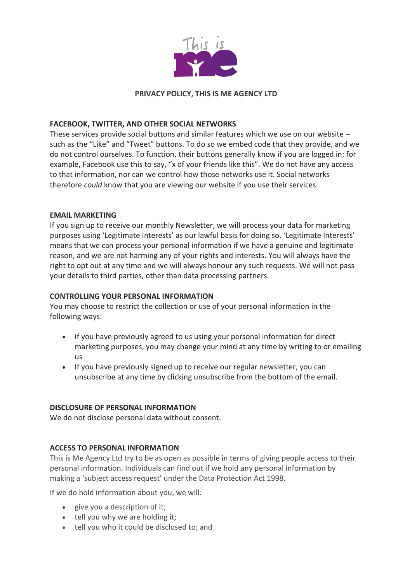

# **FACEBOOK, TWITTER, AND OTHER SOCIAL NETWORKS**

These services provide social buttons and similar features which we use on our website – such as the "Like" and "Tweet" buttons. To do so we embed code that they provide, and we do not control ourselves. To function, their buttons generally know if you are logged in; for example, Facebook use this to say, "x of your friends like this". We do not have any access to that information, nor can we control how those networks use it. Social networks therefore *could* know that you are viewing our website if you use their services.

### **EMAIL MARKETING**

If you sign up to receive our monthly Newsletter, we will process your data for marketing purposes using 'Legitimate Interests' as our lawful basis for doing so. 'Legitimate Interests' means that we can process your personal information if we have a genuine and legitimate reason, and we are not harming any of your rights and interests. You will always have the right to opt out at any time and we will always honour any such requests. We will not pass your details to third parties, other than data processing partners.

### **CONTROLLING YOUR PERSONAL INFORMATION**

You may choose to restrict the collection or use of your personal information in the following ways:

- If you have previously agreed to us using your personal information for direct marketing purposes, you may change your mind at any time by writing to or emailing us
- If you have previously signed up to receive our regular newsletter, you can unsubscribe at any time by clicking unsubscribe from the bottom of the email.

### **DISCLOSURE OF PERSONAL INFORMATION**

We do not disclose personal data without consent.

### **ACCESS TO PERSONAL INFORMATION**

This is Me Agency Ltd try to be as open as possible in terms of giving people access to their personal information. Individuals can find out if we hold any personal information by making a 'subject access request' under the Data Protection Act 1998.

If we do hold information about you, we will:

- give you a description of it;
- tell you why we are holding it;
- tell you who it could be disclosed to; and